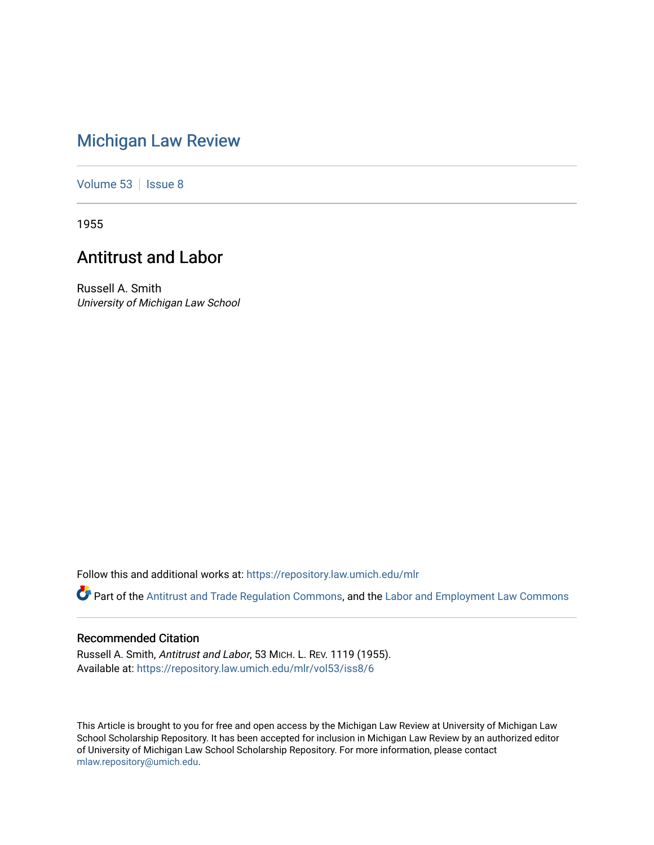# [Michigan Law Review](https://repository.law.umich.edu/mlr)

[Volume 53](https://repository.law.umich.edu/mlr/vol53) | [Issue 8](https://repository.law.umich.edu/mlr/vol53/iss8)

1955

## Antitrust and Labor

Russell A. Smith University of Michigan Law School

Follow this and additional works at: [https://repository.law.umich.edu/mlr](https://repository.law.umich.edu/mlr?utm_source=repository.law.umich.edu%2Fmlr%2Fvol53%2Fiss8%2F6&utm_medium=PDF&utm_campaign=PDFCoverPages) 

Part of the [Antitrust and Trade Regulation Commons,](http://network.bepress.com/hgg/discipline/911?utm_source=repository.law.umich.edu%2Fmlr%2Fvol53%2Fiss8%2F6&utm_medium=PDF&utm_campaign=PDFCoverPages) and the Labor and Employment Law Commons

#### Recommended Citation

Russell A. Smith, Antitrust and Labor, 53 MICH. L. REV. 1119 (1955). Available at: [https://repository.law.umich.edu/mlr/vol53/iss8/6](https://repository.law.umich.edu/mlr/vol53/iss8/6?utm_source=repository.law.umich.edu%2Fmlr%2Fvol53%2Fiss8%2F6&utm_medium=PDF&utm_campaign=PDFCoverPages)

This Article is brought to you for free and open access by the Michigan Law Review at University of Michigan Law School Scholarship Repository. It has been accepted for inclusion in Michigan Law Review by an authorized editor of University of Michigan Law School Scholarship Repository. For more information, please contact [mlaw.repository@umich.edu.](mailto:mlaw.repository@umich.edu)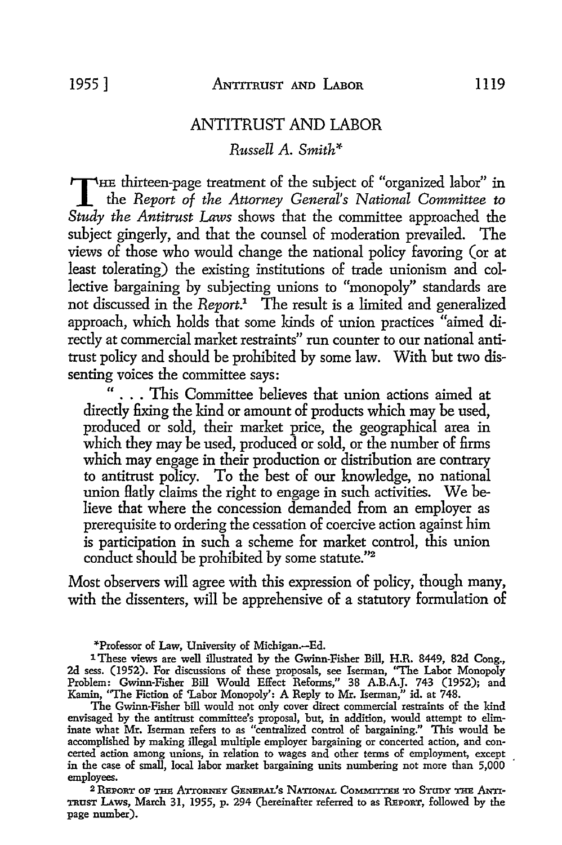## ANTITRUST AND LABOR

*Russell* A. *Smith\** 

THE thirteen-page treatment of the subject of "organized labor" in the *Report of the Attorney General's National Committee to*  $S_{t}$ *Study the Antitrust Laws* shows that the committee approached the subject gingerly, and that the counsel of moderation prevailed. The views of those who would change the national policy favoring (or at least tolerating) the existing institutions of trade unionism and collective bargaining by subjecting unions to "monopoly" standards are not discussed in the *Report.1* The result is a limited and generalized approach, which holds that some kinds of union practices "aimed directly at commercial market restraints" run counter to our national antitrust policy and should be prohibited by some law. With but two dissenting voices the committee says:

... This Committee believes that union actions aimed at directly fixing the kind or amount of products which may be used, produced or sold, their market price, the geographical area in which they may be used, produced or sold, or the number of firms which may engage in their production or distribution are contrary to antitrust policy. To the best of our knowledge, no national union flatly claims the right to engage in such activities. We believe that where the concession demanded from an employer as prerequisite *to* ordering the cessation of coercive action against him is participation in such a scheme for market control, this union conduct should be prohibited by some statute."<sup>2</sup>

Most observers will agree with this expression of policy, though many, with the dissenters, will be apprehensive of a statutory formulation of

\*Professor of Law, University of Michigan.-Ed.

1 These views are well illustrated by the Gwinn-Fisher Bill, H.R. 8449, 82d Cong., 2d sess. (1952). For discussions of these proposals, see Iserman, "The Labor Monopoly Problem: Gwinn-Fisher Bill Would Effect Reforms," 38 A.B.A.J. 743 (1952); and Kamin, "The Fiction of 'Labor Monopoly': A Reply to Mr. Iserman," id. at 748.

The Gwinn-Fisher bill would not only cover direct commercial restraints of the kind envisaged by the antitrust committee's proposal, but, in addition, would attempt to eliminate what Mr. Iserman refers to as "centralized control of bargaining." This would be accomplished by making illegal multiple employer bargaining or concerted action, and concerted action among unions, in relation to wages and other terms of employment, except in the case of small, local labor market bargaining units numbering not more than 5,000 employees.

2 REPORT OF THE ATTORNEY GENERAL'S NATIONAL COMMITTEE TO STUDY THE ANTI-TRUST LAws, March 31, 1955, p. 294 (hereinafter referred to as REPORT, followed by the page number).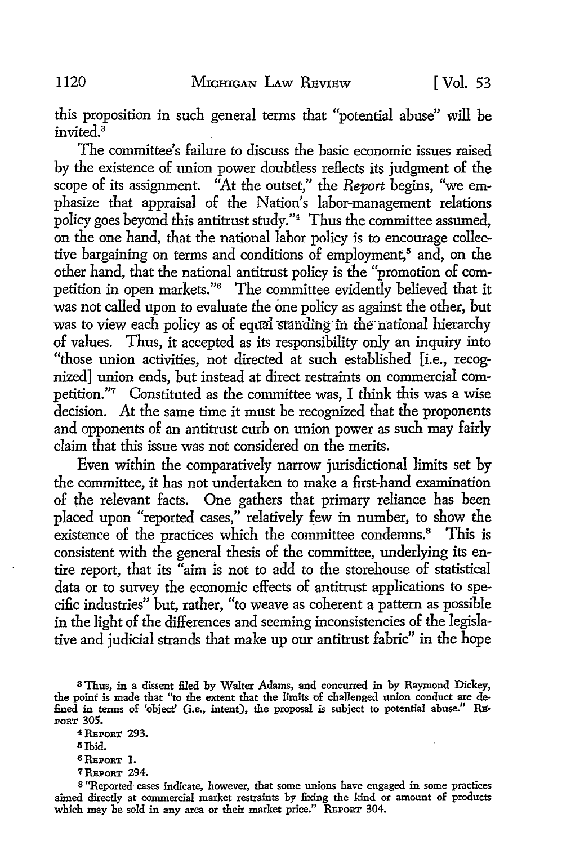this proposition in such general terms that "potential abuse" will be invited  $\overline{3}$ 

The committee's failure to discuss the basic economic issues raised by the existence of union power doubtless reflects its judgment of the scope of its assignment. "At the outset," the *Report* begins, "we emphasize that appraisal of the Nation's labor-management relations policy goes beyond this antitrust study."<sup>4</sup> Thus the committee assumed, on the one hand, that the national labor policy is to encourage collective bargaining on terms and conditions of employment,<sup>8</sup> and, on the other hand, that the national antitrust policy is the "promotion of competition in open markets."<sup>6</sup> The committee evidently believed that it was not called upon to evaluate the one policy as against the other, but was to view-each policy as of-equal standing in the national hierarchy of values. Thus, it accepted as its responsibility only an inquiry into "those union activities, not directed at such established [i.e., recognized] union ends, but instead at direct restraints on commercial competition."7 Constituted as the committee was, I think this was a wise decision. At the same time it must be recognized that the proponents and opponents of an antitrust curb on union power as such may fairly claim that this issue was not considered on the merits.

Even within the comparatively narrow jurisdictional limits set by the committee, it has not undertaken to make a first-hand examination of the relevant facts. One gathers that primary reliance has been placed upon "reported cases," relatively few in number, to show the existence of the practices which the committee condemns.<sup>8</sup> This is consistent with the general thesis of the committee, underlying its entire report, that its "aim is not to add to the storehouse of statistical data or to survey the economic effects of antitrust applications to specific industries" but, rather, "to weave as coherent a pattern as possible in the light of the differences and seeming inconsistencies of the legislative and judicial strands that make up our antitrust fabric" in the hope

- $5$  Ibid.
- 6REPORT 1.
- <sup>7</sup> REPORT 294.

<sup>3</sup>Thus, in a dissent filed by Walter Adams, and concurred in by Raymond Dickey, the point is made that "to the extent that the limits of challenged union conduct are defined in terms of 'object' (i.e., intent), the proposal is subject to potential abuse." RE'· .PORT 305.

<sup>4</sup> REPORT 293.

s "Reported- cases indicate, however, that some unions have engaged in some practices aimed directly at commercial market restraints by fixing the kind or amount of products which may be sold in any area or their market price." REPORT 304.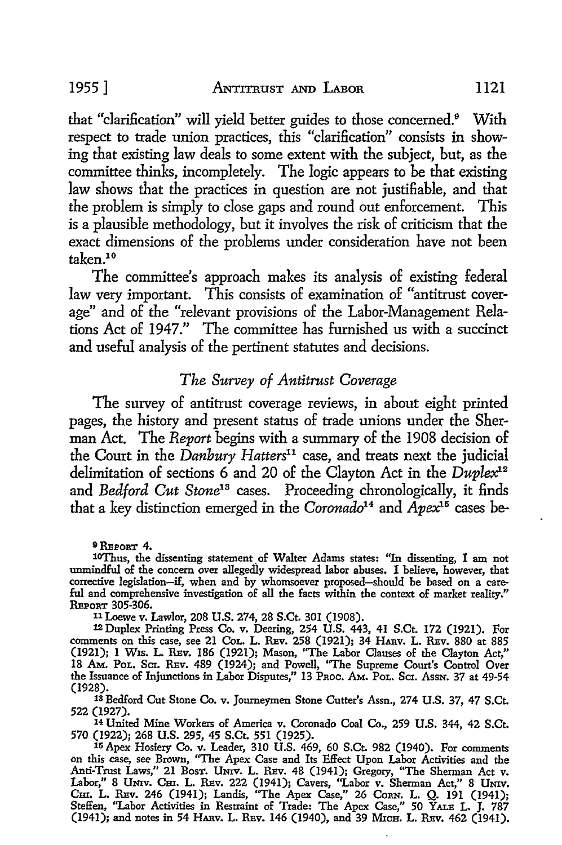that "clarification" will yield better guides to those concerned.<sup>9</sup> With respect to trade union practices, this "clarification" consists in showing that existing law deals to some extent with the subject, hut, as the committee thinks, incompletely. The logic appears to be that existing law shows that the practices in question are not justifiable, and that the problem is simply to close gaps and round out enforcement. This is a plausible methodology, hut it involves the risk of criticism that the exact dimensions of the problems under consideration have not been taken.<sup>10</sup>

The committee's approach makes its analysis of existing federal law very important. This consists of examination of "antitrust coverage" and of the "relevant provisions of the Labor-Management Relations Act of 1947." The committee has furnished us with a succinct and useful analysis of the pertinent statutes and decisions.

#### *The Survey of Antitrust Coverage*

The survey of antitrust coverage reviews, in about eight printed pages, the history and present status of trade unions under the Sherman Act. The *Report* begins with a summary of the 1908 decision of the Court in the *Danbury Hatters11* case, and treats next the judicial delimitation of sections 6 and 20 of the Clayton Act in the *Duplex1-*<sup>2</sup> and *Bedford Cut Stone13* cases. Proceeding chronologically, it finds that a key distinction emerged in the *Coronado14* and *Apex15* cases be-

**9 REPORT 4.**<br>10Thus, the dissenting statement of Walter Adams states: "In dissenting, I am not unmindful of the concern over allegedly widespread labor abuses. I believe, however, that ful and comprehensive investigation of all the facts within the context of market reality." REPORT 305-306.

11 Loewe v. Lawlor, 208 U.S. 274, 28 S.Ct. 301 (1908).

<sup>12</sup>Duplex Printing Press Co. v. Deering, 254 U.S. 443, 41 S.Ct. 172 (1921). For comments on this case, see 21 CoL. L. REv. 258 (1921); 34 HARV. L. REv. 880 at 885 (1921); 1 W1s. L. REv. 186 (1921); Mason, ''The Labor Clauses of the Clayton Act," 18 Am. Pol. Sci. Rev. 489 (1924); and Powell, "The Supreme Court's Control Over the Issuance of Injunctions in Labor Disputes," 13 Proc. Am. Pol. Scr. Assn. 37 at 49-54 (1928). 13 Bedford Cut Stone Co. v. Journeymen Stone Cutter's Assn., 274 U.S. 37, 47 S.Ct.

**522 (1927).** 

14 United Mine Workers of America v. Coronado Coal *Co.,* 259 U.S. 344, 42 S.Ct. 570 (1922); 268 U.S. 295, 45 S.Ct. 551 (1925).

15 Apex Hosiery Co. v. Leader, 310 U.S. 469, 60 S.Ct. 982 (1940). For comments on this case, see Brown, "The Apex Case and Its Effect Upon Labor Activities and the Anti-Trust Laws," 21 Bosr. Univ. L. Rev. 48 (1941); Gregory, "The Sherman Act v.<br>Labor," 8 UNIv. Cm. L. Rev. 222 (1941); Cavers, ''Labor v. Sherman Act," 8 UNIv. Cm. L. REv. 246 (1941); Landis, "The Apex Case," 26 CoRN. L. Q. 191 (1941); Steffen, ''Labor Activities in Restraint of Trade: The Apex Case,'' 50 YALE L. J. 787 (1941); and notes in 54 HARv. L. REv. 146 (1940), and 39 Micg. L. REv. 462 (1941).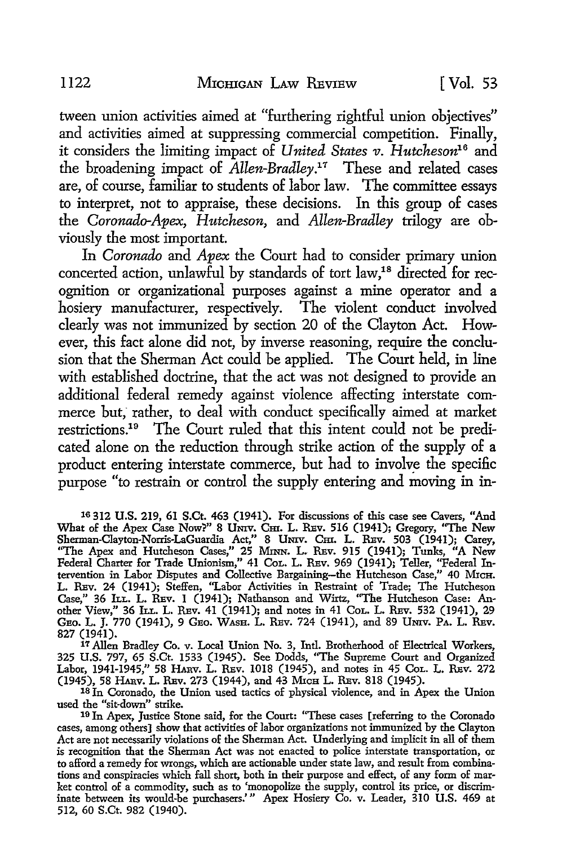tween union activities aimed at "furthering rightful union objectives" and activities aimed at suppressing commercial competition. Finally, it considers the limiting impact of *United States v. Hutcheson16* and the broadening impact of *Allen-Bradley.11* These and related cases are, of course, familiar to students of labor law. The committee essays to interpret, not to appraise, these decisions. In this group of cases the *Coronado-Apex, Hutcheson,* and *Allen-Bradley* trilogy are obviously the most important.

In *Coronado* and *Apex* the Court had to consider primary union concerted action, unlawful by standards of tort law,<sup>18</sup> directed for recognition or organizational purposes against a mine operator and a hosiery manufacturer, respectively. The violent conduct involved clearly was not immunized by section 20 of the Clayton Act. However, this fact alone did not, by inverse reasoning, require the conclusion that the Sherman Act could be applied. The Court held, in line with established doctrine, that the act was not designed to provide an additional federal remedy against violence affecting interstate commerce but; rather, to deal with conduct specifically aimed at market restrictions.19 The Court ruled that this intent could not be predicated alone on the reduction through strike action of the supply of a product entering interstate commerce, but had to involve the specific purpose "to restrain or control the supply entering and moving in in-

16 312 U.S. 219, 61 S.Ct. 463 (1941). For discussions of this case see Cavers, "And What of the Apex Case Now?" 8 UNIV. Cm. L. REV. 516 (1941); Gregory, "The New Sherman-Clayton-Norris-LaGuardia Act," 8 UNIV. Cm. L. REV. 503 (1941); Carey, "The Apex and Hutcheson Cases," 25 MINN. L. REv. 915 (1941); Tunks, "A New Federal Charter for Trade Unionism," 41 CoL. L. REv. 969 (1941); Teller, "Federal Intervention in Labor Disputes and Collective Bargaining-the Hutcheson Case," 40 MrcH. L. REv. 24 (1941); Steffen, "Labor Activities in Restraint of Trade; The Hutcheson Case," 36 ILL. L. REV. 1 (1941); Nathanson and Wirtz, "The Hutcheson Case: Another View," 36 ILL. L. REv. 41 (1941); and notes in 41 CoL. L. REv. 532 (1941), 29 GEO. L. J. 770 (1941), 9 GEO. WASH. L. REV. 724 (1941), and 89 UNIV. PA. L. REV. 827 (1941).

17 Allen Bradley Co. v. Local Union No. 3, Intl. Brotherhood of Electrical Workers, 325 U.S. 797, 65 S.Ct. 1533 (1945). See Dodds, "The Supreme Court and Organized Labor, 1941-1945," 58 HARV. L. REV. 1018 (1945), and notes in 45 Col. L. REV. 272 (1945), 58 HARV. L. REV. 273 (1944), and 43 MICH L. REV. 818 (1945).

18 In Coronado, the Union used tactics of physical violence, and in Apex the Union used the "sit-down" strike.

19 Jn Apex, Justice Stone said, for the Court: ''These cases [referring to the Coronado cases, among others] show that activities of labor organizations not immunized by the Clayton Act are not necessarily violations of the Sherman Act. Underlying and implicit in all of them is recognition that the Sherman Act was not enacted to police interstate transportation, or to afford a remedy for wrongs, which are actionable under state law, and result from combinations and conspiracies which fall short, both in their purpose and effect, of any form of market control of a commodity, such as to 'monopolize the supply, control its price, or discriminate between its would-be purchasers.'" Apex Hosiery Co. v. Leader, 310 U.S. 469 at 512, 60 S.Ct. 982 (1940).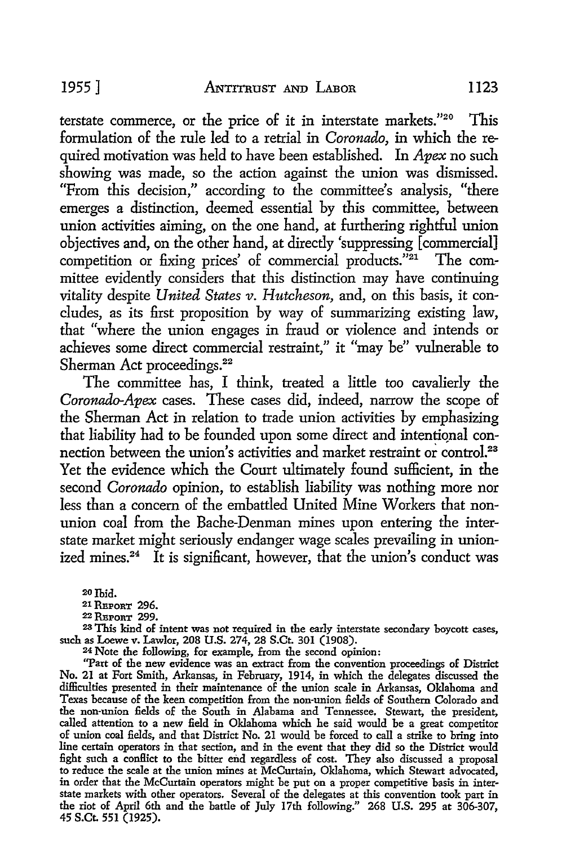terstate commerce, or the price of it in interstate markets."20 This formulation of the rule led to a retrial in *Coronado,* in which the required motivation was held to have been established. In *Apex* no such showing was made, so the action against the union was dismissed. "From this decision," according to the committee's analysis, "there emerges a distinction, deemed essential by this committee, between union activities aiming, on the one hand, at furthering rightful union objectives and, on the other hand, at directly 'suppressing [commercial] competition or fixing prices' of commercial products."<sup>21</sup> The committee evidently considers that this distinction may have continuing vitality despite *United States v. Hutcheson,* and, on this basis, it concludes, as its first proposition by way of summarizing existing law, that "where the union engages in fraud or violence and intends or achieves some direct commercial restraint," it "may be" vulnerable to Sherman Act proceedings.<sup>22</sup>

The committee has, I think, treated a little too cavalierly the *Coronado-Apex* cases. These cases did, indeed, narrow the scope of the Sherman Act in relation to trade union activities by emphasizing that liability had to be founded upon some direct and intentional connection between the union's activities and market restraint or control.<sup>23</sup> Yet the evidence which the Court ultimately found sufficient, in the second *Coronado* opinion, to establish liability was nothing more nor less than a concern of the embattled United Mine Workers that nonunion coal from the Bache-Denman mines upon entering the interstate market might seriously endanger wage scales prevailing in unionized mines.<sup>24</sup> It is significant, however, that the union's conduct was

20 Ibid.

<sup>21</sup> REPORT 296.

22 RBPOR'I' 299.

<sup>23</sup>This kind of intent was not required in the early interstate secondary boycott cases, such as Loewe v. Lawlor, 208 U.S. 274, 28 S.Ct. 301 (1908). 24 Note the following, for example, from the second opinion:

"Part of the new evidence was an extract from the convention proceedings of District No. 21 at Fort Smith, Arkansas, in February, 1914, in which the delegates discussed the difficulties presented in their maintenance of the union scale in Arkansas, Oklahoma and Texas because of the keen competition from the non-union £elds of Southern Colorado and the non·union £elds of the South in Alabama and Tennessee. Stewart, the president, called attention to a new £eld in Oklahoma which he said would be a great competitor of union coal £elds, and that District No. 21 would be forced to call a strike to bring into line certain operators in that section, and in the event that they did so the District would £ght such a conflict to the bitter end regardless of cost. They also discussed a proposal to reduce the scale at the union mines at McCurtain, Oklahoma, which Stewart advocated, in order that the McCurtain operators might be put on a proper competitive basis in interstate markets with other operators. Several of the delegates at this convention took part in the riot of April 6th and the battle of July 17th following." 268 U.S. 295 at 306-307, 45 S.Ct. 551 (1925).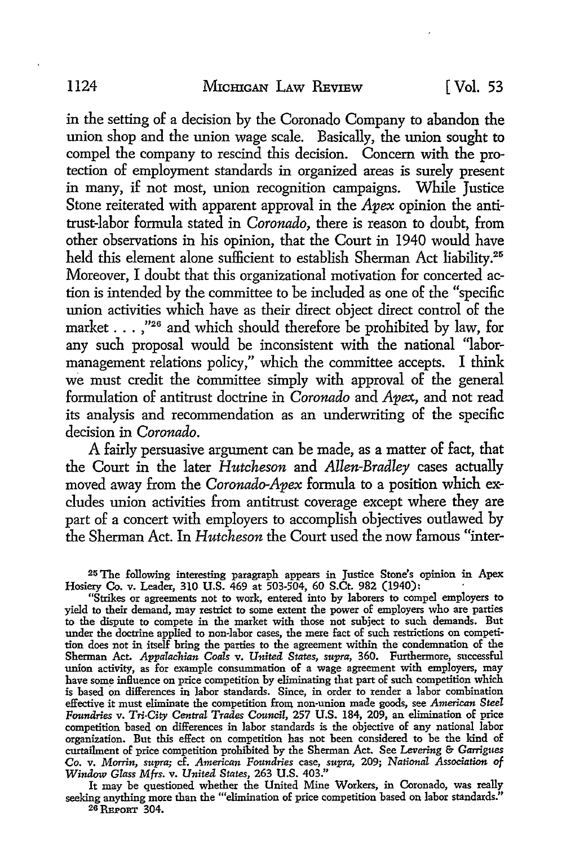in the setting of a decision by the Coronado Company to abandon the union shop and the union wage scale. Basically, the union sought to compel the company to rescind this decision. Concern with the protection of employment standards in organized areas is surely present in many, if not most, union recognition campaigns. While Justice Stone reiterated with apparent approval in the *Apex* opinion the antitrust-labor formula stated in *Coronado,* there is reason to doubt, from other observations in his opinion, that the Court in 1940 would have held this element alone sufficient to establish Sherman Act liability.<sup>25</sup> Moreover, I doubt that this organizational motivation for concerted action is intended by the committee to be included as one of the "specific union activities which have as their direct object direct control of the market ... ,"26 and which should therefore be prohibited by law, for any such proposal would be inconsistent with the national "labormanagement relations policy," which the committee accepts. I think we must credit the committee simply with approval of the general formulation of antitrust doctrine in *Coronado* and *Apex.,* and not read its analysis and recommendation as an underwriting of the specific decision in *Coronado.* 

A fairly persuasive argument can be made, as a matter of fact, that the Court in the later *Hutcheson* and *Allen-Bradley* cases actually moved away from the *Coronado-Apex* formula to a position which excludes union activities from antitrust coverage except where they are part of a concert with employers to accomplish objectives outlawed by the Sherman Act. In *Hutcheson* the Court used the now famous "inter-

25 The following interesting paragraph appears in Justice Stone's opinion in Apex Hosiery Co. v. Leader, 310 U.S. 469 at 503-504, 60 S.Ct. 982 (1940): ·

"Strikes or agreements not to work, entered into by laborers to compel employers **to**  yield to their demand, may restrict to some extent the power of employers who are parties to the dispute to compete in the market with those not subject to such demands. But under the doctrine applied to non-labor cases, the mere fact of such restrictions on competition does not in itself bring the parties to the agreement within the condemnation of the Sherman Act. *Appalachian Coals* v. *United States, supra,* 360. Furthermore, successful union activity, as for example consummation of a wage agreement with employers, may have some influence on price competition by eliminating that part of such competition which is based on differences in labor standards. Since, in order to render a labor combination effective it must eliminate the competition from non-union made goods, see American Steel *Foundries* v. *Tri-City Central Trades Council,* 257 U.S. 184, 209, an elimination of price competition based on differences in labor standards is the objective of any national labor organization. But this effect on competition has not been considered to be the kind of curtailment of price competition prohibited by the Sherman Act. See *Levering* & *Garrigues*  Co. v. *Morrin, supra;* cf. *American Foundries* case, *supra,* 209; *National Association of Window Glass Mfrs.* v. *United States,* 263 U.S. 403."

It may be questioned whether the United Mine Workers, in Coronado, was really seeking anything more than the "'elimination of price competition based on labor standards." 26 REPORT 304.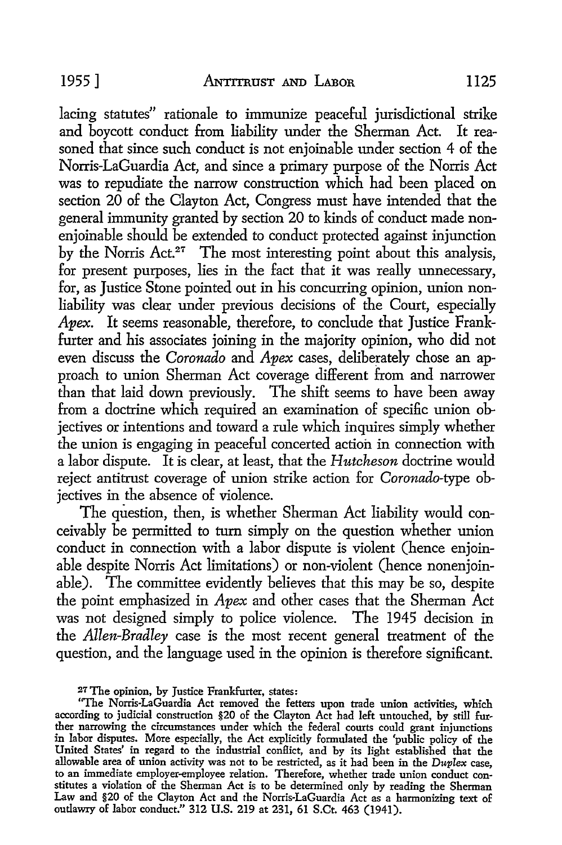lacing statutes" rationale to immunize peaceful jurisdictional strike and boycott conduct from liability under the Sherman Act. It reasoned that since such conduct is not enjoinable under section 4 of the Norris-LaGuardia Act, and since a primary purpose of the Norris Act was to repudiate the narrow construction which had been placed on section 20 of the Clayton Act, Congress must have intended that the general immunity granted by section 20 to kinds of conduct made nonenioinable should be extended to conduct protected against injunction by the Norris Act.<sup>27</sup> The most interesting point about this analysis, for present purposes, lies in the fact that it was really unnecessary, for, as Justice Stone pointed out in his concurring opinion, union nonliability was clear under previous decisions of the Court, especially *Apex.* It seems reasonable, therefore, to conclude that Justice Frankfurter and his associates joining in the majority opinion, who did not even discuss the *Coronado* and *Apex* cases, deliberately chose an approach to union Sherman Act coverage different from and narrower than that laid down previously. The shift seems to have been away from a doctrine which required an examination of specific union objectives or intentions and toward a rule which inquires simply whether the union is engaging in peaceful concerted action in connection with a labor dispute. It is clear, at least, that the *Hutcheson* doctrine would reject antitrust coverage of union strike action for *Coronado-type* objectives in the absence of violence.

The question, then, is whether Sherman Act liability would conceivably be permitted to turn simply on the question whether union conduct in connection with a labor dispute is violent (hence enjoinable despite Norris Act limitations) or non-violent (hence nonenjoinable). The committee evidently believes that this may be so, despite the point emphasized in *Apex* and other cases that the Sherman Act was not designed simply to police violence. The 1945 decision in the *Allen-Bradley* case is the most recent general treatment of the question, and the language used in the opinion is therefore significant.

<sup>27</sup> The opinion, by Justice Frankfurter, states:

<sup>&</sup>quot;The Norris-LaGuardia Act removed the fetters upon trade union activities, which according to judicial construction §20 of the Clayton Act had left untouched, by still further narrowing the circumstances under which the federal courts could grant injunctions in labor disputes. More especially, the Act explicitly formulated the 'public policy of the United States' in regard to the industrial conflict, and by its light established that the allowable area of union activity was not to be restricted, as it had been in the *Duplex* case, to an immediate employer-employee relation. Therefore, whether trade union conduct constitutes a violation of the Sherman Act is to be determined only by reading the Sherman Law and §20 of the Clayton Act and the Norris-LaGuardia Act as a harmonizing text of outlawry of labor conduct." 312 U.S. 219 at 231, 61 S.Ct. 463 (1941).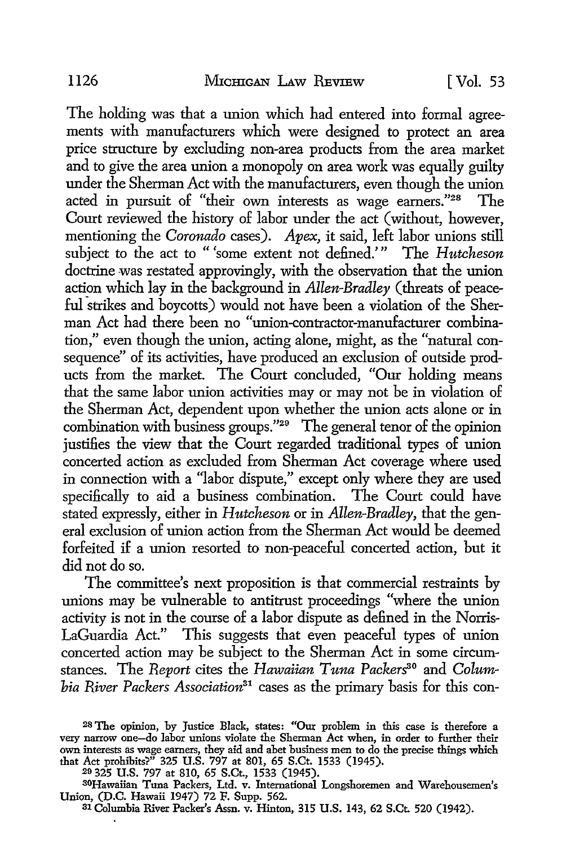The holding was that a union which had entered into formal agreements with manufacturers which were designed to protect an area price structure by excluding non-area products from the area market and to give the area union a monopoly on area work was equally guilty under the Sherman Act with the manufacturers, even though the union acted in pursuit of "their own interests as wage earners."<sup>28</sup> The Court reviewed the history of labor under the act ( without, however, mentioning the *Coronado* cases). *Apex,* it said, left labor unions still subject to the act to "'some extent not defined.'" The *Hutcheson*  doctrine was restated approvingly, with the observation that the union action which lay in the background in *Allen-Bradley* (threats of peaceful strikes and boycotts) would not have been a violation of the Sherman Act had there been no "union-contractor-manufacturer combination," even though the union, acting alone, might, as the "natural consequence" of its activities, have produced an exclusion of outside products from the market. The Court concluded, "Our holding means that the same labor union activities may or may not be in violation of the Sherman Act, dependent upon whether the union acts alone or in combination with business groups."29 The general tenor of the opinion justifies the view that the Court regarded traditional types of union concerted action as excluded from Sherman Act coverage where used in connection with a "labor dispute," except only where they are used specifically to aid a business combination. The Court could have stated expressly, either in *Hutcheson* or in *Allen-Bradley,* that the general exclusion of union action from the Sherman Act would be deemed forfeited if a union resorted to non-peaceful concerted action, but it did not do so.

The committee's next proposition is that commercial restraints by unions may be vulnerable to antitrust proceedings "where the union activity is not in the course of a labor dispute as defined in the Norris-LaGuardia Act." This suggests that even peaceful types of union concerted action may be subject to the Sherman Act in some circumstances. The *Report* cites the *Hawaiian Tuna Packers*<sup>30</sup> and *Columbia River Packers Association31* cases as the primary basis for this con-

29 325 U.S. 797 at 810, 65 S.Ct., 1533 (1945).

<sup>3</sup>0Hawaiian Tuna Packers, Ltd. v. International Longshoremen and Warehousemen's Union, (D.C. Hawaii 1947) 72 F. Supp. 562.

31 Columbia River Packer's Assn. v. Hinton, 315 U.S. 143, 62 S.Ct. 520 (1942).

<sup>28</sup> The opinion, by Justice Black, states: "Our problem in this case is therefore a very narrow one-do labor unions violate the Sherman Act when, in order to further their own interests as wage earners, they aid and abet business men to do the precise things which that Act prohibits?" 325 U.S. 797 at 801, 65 S.Ct. 1533 (1945).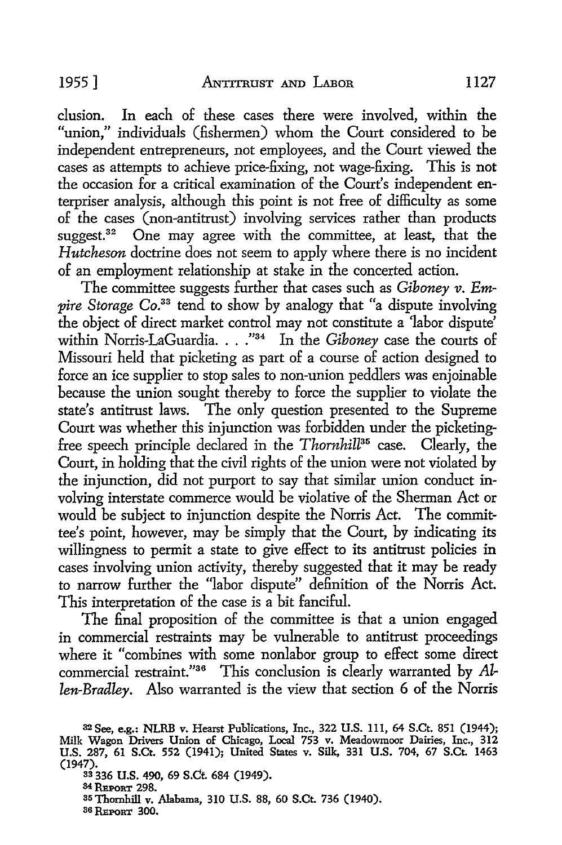clusion. In each of these cases there were involved, within the "union," individuals (fishermen) whom the Court considered to be independent entrepreneurs, not employees, and the Court viewed the cases as attempts to achieve price-fixing, not wage-fixing. This is not the occasion for a critical examination of the Court's independent enterpriser analysis, although this point is not free of difficulty as some of the cases (non-antitrust) involving services rather than products suggest.<sup>32</sup> One may agree with the committee, at least, that the *Hutcheson* doctrine does not seem to apply where there is no incident of an employment relationship at stake in the concerted action.

The committee suggests further that cases such as *Giboney v. Empire Storage Co.*<sup>33</sup> tend to show by analogy that "a dispute involving the object of direct market control may not constitute a 'labor dispute' within Norris-LaGuardia. . . .<sup>"34</sup> In the *Giboney* case the courts of Missouri held that picketing as part of a course of action designed to force an ice supplier to stop sales to non-union peddlers was enjoinable because the union sought thereby to force the supplier to violate the state's antitrust laws. The only question presented to the Supreme Court was whether this injunction was forbidden under the picketingfree speech principle declared in the *Thornhill*<sup>35</sup> case. Clearly, the Court, in holding that the civil rights of the union were not violated by the injunction, did not purport to say that similar union conduct involving interstate commerce would be violative of the Sherman Act or would be subject to injunction despite the Norris Act. The committee's point, however, may be simply that the Court, by indicating its willingness to permit a state to give effect to its antitrust policies in cases involving union activity, thereby suggested that it may be ready to narrow further the "labor dispute" definition of the Norris Act. This interpretation of the case is a bit fanciful.

The final proposition of the committee is that a union engaged in commercial restraints may be vulnerable to antitrust proceedings where it "combines with some nonlabor group to effect some direct commercial restraint."36 This conclusion is clearly warranted by Al*len-Bradley.* Also warranted is the view that section 6 of the Norris

<sup>32</sup>See, e.g.: NLRB v. Hearst Publications, Inc., 322 U.S. 111, 64 S.Ct. 851 (1944); Milk Wagon Drivers Union of Chicago, Local 753 v. Meadowmoor Dairies, Inc., 312 U.S. 287, 61 S.Ct. 552 (1941); United States v. Silk, 331 U.S. 704, 67 S.Ct. 1463 (1947).

<sup>33 336</sup> U.S. 490, 69 S.Ct. 684 (1949).

<sup>34</sup> REPORT 298.

<sup>35</sup> Thornhill v. Alabama, 310 U.S. 88, 60 S.Ct. 736 (1940).

<sup>36</sup> REPORT 300.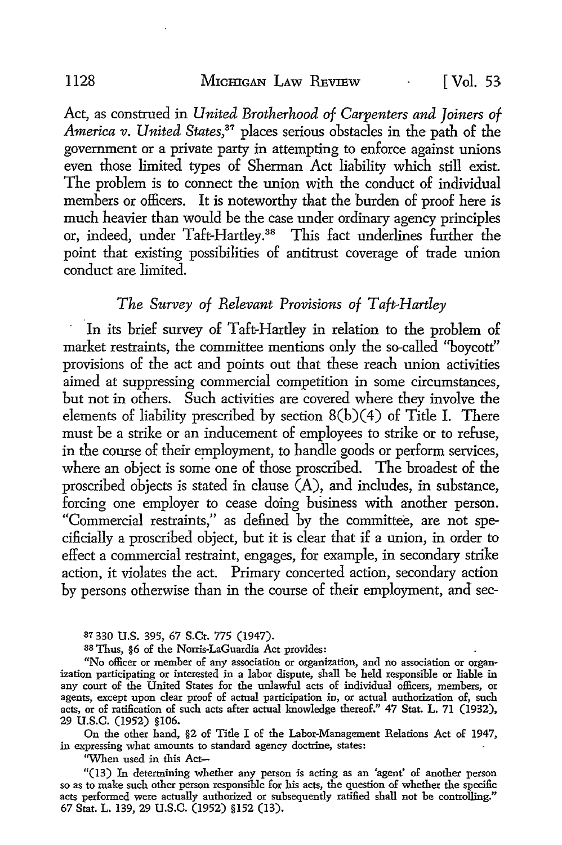Act, as construed in *United Brotherhood of Carpenters and Joiners of America v. United States*,<sup>37</sup> places serious obstacles in the path of the government or a private party in attempting to enforce against unions even those limited types of Sherman Act liability which still exist. The problem is to connect the union with the conduct of individual members or officers. It is noteworthy that the burden of proof here is much heavier than would be the case under ordinary agency principles or, indeed, under Taft-Hartley.38 This fact underlines further the point that existing possibilities of antitrust coverage of trade union conduct are limited.

### *The Survey of Relevant Provisions of* T *afe-Hartley*

In its brief survey of Taft-Hartley in relation to the problem of market restraints, the committee mentions only the so-called ''boycott" provisions of the act and points out that these reach union activities aimed at suppressing commercial competition in some circumstances, but not in others. Such activities are covered where they involve the elements of liability prescribed by section  $8(b)(4)$  of Title I. There must be a strike or an inducement of employees to strike or to refuse, in the course of their employment, to handle goods or perform services, where an object is some one of those proscribed. The broadest of the proscribed objects is stated in clause  $(A)$ , and includes, in substance, forcing one employer to cease doing business with another person. "Commercial restraints," as defined by the committee, are not specificially a proscribed object, but it is clear that if a union, in order to effect a commercial restraint, engages, for example, in secondary strike action, it violates the act. Primary concerted action, secondary action by persons otherwise than in the course of their employment, and sec-

37 330 U.S. 395, 67 S.Ct. 775 (1947).

38 Thus, §6 of the Norris-LaGuardia Act provides:

"No officer or member of any association or organization, and no association or organization participating or interested in a labor dispute, shall be held responsible or liable in any court of the United States for the unlawful acts of individual officers, members, or agents, except upon clear proof of actual participation in, or actual authorization of, such acts, or of ratification of such acts after actual knowledge thereof." 47 Stat. L. 71 (1932), 29 u.s.c. (1952) §106.

On the other hand, §2 of Title I of the Labor-Management Relations Act of 1947, in expressing what amounts to standard agency doctrine, states:

''When used in this Act-

"(13) In determining whether any person is acting as an 'agent' of another person so as to make such other person responsible for his acts, the question of whether the specific acts performed were actually authorized or subsequently ratified shall not be controlling." 67 Stat. L. 139, 29 U.S.C. (1952) §152 (13).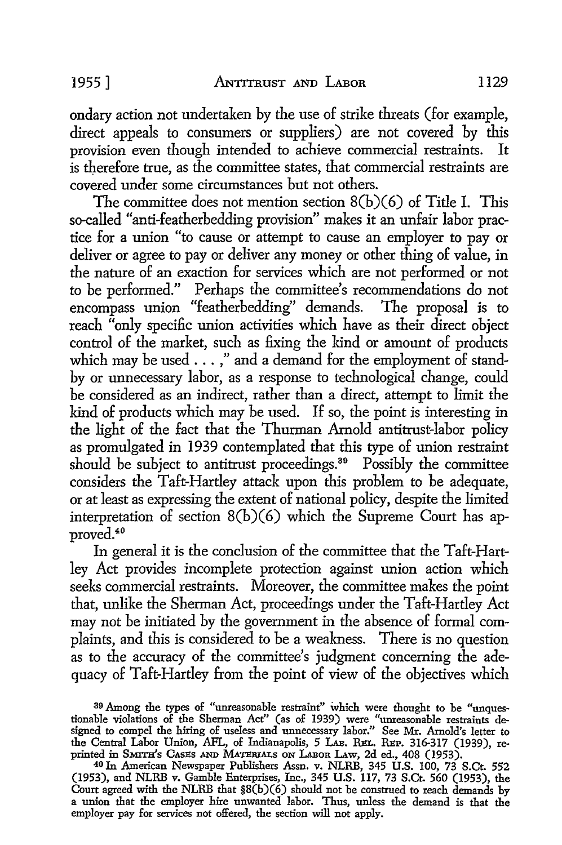ondary action not undertaken by the use of strike threats (for example, direct appeals to consumers or suppliers) are not covered by this provision even though intended to achieve commercial restraints. It is therefore true, as the committee states, that commercial restraints are covered under some circumstances but not others.

The committee does not mention section 8(b)(6) of Title I. This so-called "anti-featherbedding provision" makes it an unfair labor practice for a union "to cause or attempt to cause an employer to pay or deliver or agree to pay or deliver any money or other thing of value, in the nature of an exaction for services which are not performed or not to be performed." Perhaps the committee's recommendations do not encompass union "featherbedding'' demands. The proposal is to reach "only specific union activities which have as their direct object control of the market, such as fixing the kind or amount of products which may be used . . . ," and a demand for the employment of standby or unnecessary labor, as a response to technological change, could be considered as an indirect, rather than a direct, attempt to limit the kind of products which may be used. If so, the point is interesting in the light of the fact that the Thurman Arnold antitrust-labor policy as promulgated in 1939 contemplated that this type of union restraint should be subject to antitrust proceedings.<sup>39</sup> Possibly the committee considers the Taft-Hartley attack upon this problem to be adequate, or at least as expressing the extent of national policy, despite the limited interpretation of section 8(b)(6) which the Supreme Court has approved.40

In general it is the conclusion of the committee that the Taft-Hartley Act provides incomplete protection against union action which seeks commercial restraints. Moreover, the committee makes the point that, unlike the Sherman Act, proceedings under the Taft-Hartley Act may not be initiated by the government in the absence of formal complaints, and this is considered to be a weakness. There is no question as to the accuracy of the committee's judgment concerning the adequacy of Taft-Hartley from the point of view of the objectives which

39 Among the types of "unreasonable restraint" which were thought to be "unquestionable violations of the Sherman Act" (as of 1939) were "unreasonable restraints designed to compel the hiring of useless and unnecessary labor." See Mr. Arnold's letter to the Central Labor Union, AFL, of Indianapolis, 5 LAB. REL. REP. 316-317 (1939), reprinted in SMITH's CASES AND MATERIALS ON LABOR LAW, 2d ed., 408 (1953).

40 In American Newspaper Publishers Assn. v. NLRB, 345 U.S. 100, 73 S.Ct. 552 (1953), and NLRB v. Gamble Enterprises, Inc., 345 U.S. 117, 73 S.Ct. 560 (1953), the Court agreed with the NLRB that §8(b)(6) should not be construed to reach demands by a union that the employer hire unwanted labor. Thus, unless the demand is that the employer pay for services not offered, the section will not apply.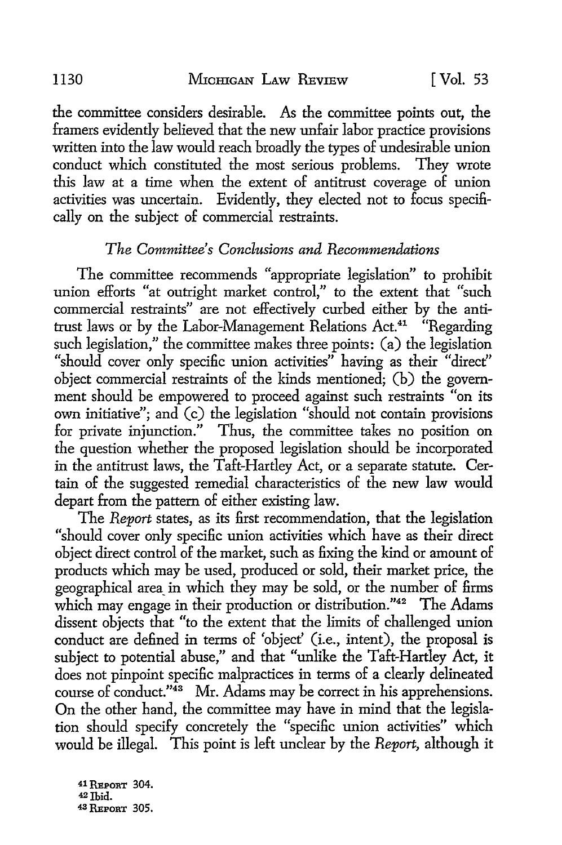the committee considers desirable. As the committee points out, the framers evidently believed that the new unfair labor practice provisions written into the law would reach broadly the types of undesirable union conduct which constituted the most serious problems. They wrote this law at a time when the extent of antitrust coverage of union activities was uncertain. Evidently, they elected not to focus specifically on the subject of commercial restraints.

## *The Committee's Conclusions and Recommendations*

The committee recommends "appropriate legislation" to prohibit union efforts "at outright market control," to the extent that "such commercial restraints" are not effectively curbed either by the antitrust laws or by the Labor-Management Relations Act.41 "Regarding such legislation," the committee makes three points: (a) the legislation "should cover only specific union activities" having as their "direct" object commercial restraints of the kinds mentioned; (b) the government should be empowered to proceed against such restraints "on its own initiative"; and (c) the legislation "should not contain provisions for private injunction." Thus, the committee takes no position on the question whether the proposed legislation should be incorporated in the antitrust laws, the Taft-Hartley Act, or a separate statute. Certain of the suggested remedial characteristics of the new law would depart from the pattern of either existing law.

The *Report* states, as its first recommendation, that the legislation "should cover only specific union activities which have as their direct object direct control of the market, such as fixing the kind or amount of products which may be used, produced or sold, their market price, the geographical area in which they may be sold, or the number of firms which may engage in their production or distribution."<sup>42</sup> The Adams dissent objects that "to the extent that the limits of challenged union conduct are defined in terms of 'object' (i.e., intent), the proposal is subject to potential abuse," and that "unlike the Taft-Hartley Act, it does not pinpoint specific malpractices in terms of a clearly delineated course of conduct."<sup>43</sup> Mr. Adams may be correct in his apprehensions. On the other hand, the committee may have in mind that the legislation should specify concretely the "specific union activities" which would be illegal. This point is left unclear by the *Report,* although it

41 REPORT 304. 42 Ibid. 43 REPORT 305.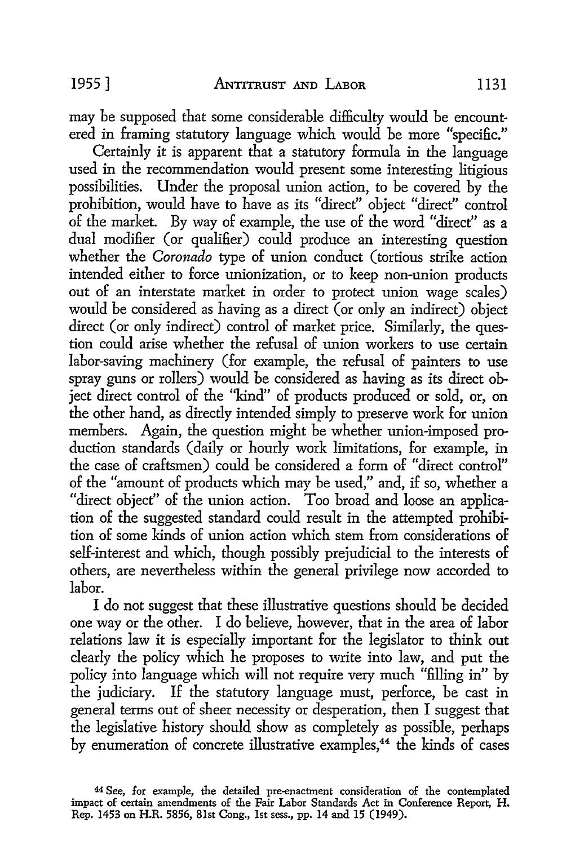may be supposed that some considerable difficulty would be encountered in framing statutory language which would be more "specific."

Certainly it is apparent that a statutory formula in the language used in the recommendation would present some interesting litigious possibilities. Under the proposal union action, to be covered by the prohibition, would have to have as its "direct'' object "direct" control of the market. By way of example, the use of the word "direct" as a dual modifier (or qualifier) could produce an interesting question whether the *Coronado* type of union conduct (tortious strike action intended either to force unionization, or to keep non-union products out of an interstate market in order to protect union wage scales) would be considered as having as a direct (or only an indirect) object direct (or only indirect) control of market price. Similarly, the question could arise whether the refusal of union workers to use certain labor-saving machinery (for example, the refusal of painters to use spray guns or rollers) would be considered as having as its direct object direct control of the "kind" of products produced or sold, or, on the other hand, as directly intended simply to preserve work for union members. Again, the question might be whether union-imposed production standards ( daily or hourly work limitations, for example, in the case of craftsmen) could be considered a form of "direct control" of the "amount of products which may be used," and, if so, whether a "direct object" of the union action. Too broad and loose an application of the suggested standard could result in the attempted prohibition of some kinds of union action which stern from considerations of self-interest and which, though possibly prejudicial to the interests of others, are nevertheless within the general privilege now accorded to labor.

I do not suggest that these illustrative questions should be decided one way or the other. I do believe, however, that in the area of labor relations law it is especially important for the legislator to think out clearly the policy which he proposes to write into law, and put the policy into language which will not require very much "filling in" by the judiciary. If the statutory language must, perforce, be cast in general terms out of sheer necessity or desperation, then I suggest that the legislative history should show as completely as possible, perhaps by enumeration of concrete illustrative examples,<sup>44</sup> the kinds of cases

<sup>44</sup> See, for example, the detailed pre-enactment consideration of the contemplated impact of certain amendments of the Fair Labor Standards Act in Conference Report, H. Rep. 1453 on H.R. 5856, 81st Cong., 1st sess., pp. 14 and 15 (1949).